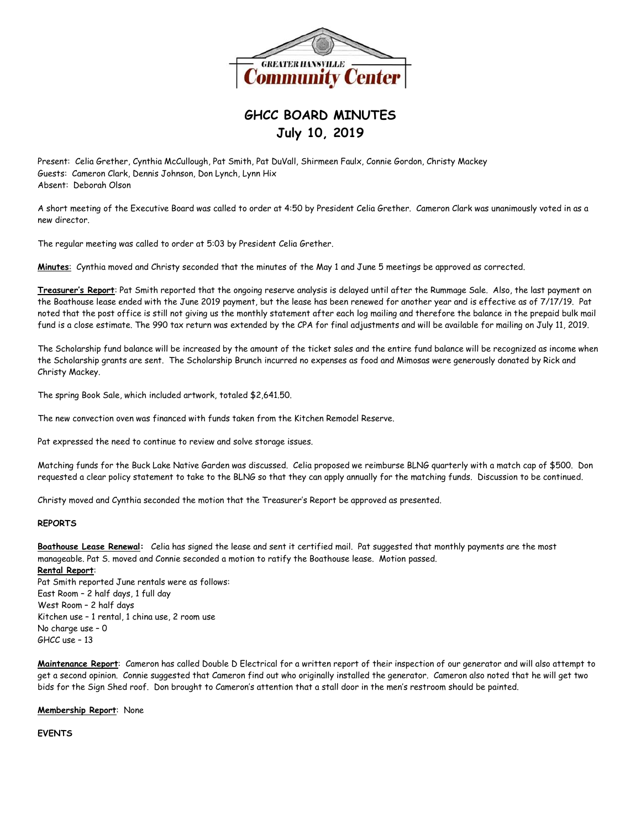

## **GHCC BOARD MINUTES July 10, 2019**

Present: Celia Grether, Cynthia McCullough, Pat Smith, Pat DuVall, Shirmeen Faulx, Connie Gordon, Christy Mackey Guests: Cameron Clark, Dennis Johnson, Don Lynch, Lynn Hix Absent: Deborah Olson

A short meeting of the Executive Board was called to order at 4:50 by President Celia Grether. Cameron Clark was unanimously voted in as a new director.

The regular meeting was called to order at 5:03 by President Celia Grether.

**Minutes**: Cynthia moved and Christy seconded that the minutes of the May 1 and June 5 meetings be approved as corrected.

**Treasurer's Report**: Pat Smith reported that the ongoing reserve analysis is delayed until after the Rummage Sale. Also, the last payment on the Boathouse lease ended with the June 2019 payment, but the lease has been renewed for another year and is effective as of 7/17/19. Pat noted that the post office is still not giving us the monthly statement after each log mailing and therefore the balance in the prepaid bulk mail fund is a close estimate. The 990 tax return was extended by the CPA for final adjustments and will be available for mailing on July 11, 2019.

The Scholarship fund balance will be increased by the amount of the ticket sales and the entire fund balance will be recognized as income when the Scholarship grants are sent. The Scholarship Brunch incurred no expenses as food and Mimosas were generously donated by Rick and Christy Mackey.

The spring Book Sale, which included artwork, totaled \$2,641.50.

The new convection oven was financed with funds taken from the Kitchen Remodel Reserve.

Pat expressed the need to continue to review and solve storage issues.

Matching funds for the Buck Lake Native Garden was discussed. Celia proposed we reimburse BLNG quarterly with a match cap of \$500. Don requested a clear policy statement to take to the BLNG so that they can apply annually for the matching funds. Discussion to be continued.

Christy moved and Cynthia seconded the motion that the Treasurer's Report be approved as presented.

## **REPORTS**

**Boathouse Lease Renewal:** Celia has signed the lease and sent it certified mail. Pat suggested that monthly payments are the most manageable. Pat S. moved and Connie seconded a motion to ratify the Boathouse lease. Motion passed. **Rental Report**:

Pat Smith reported June rentals were as follows: East Room – 2 half days, 1 full day West Room – 2 half days Kitchen use – 1 rental, 1 china use, 2 room use No charge use – 0 GHCC use – 13

**Maintenance Report**: Cameron has called Double D Electrical for a written report of their inspection of our generator and will also attempt to get a second opinion. Connie suggested that Cameron find out who originally installed the generator. Cameron also noted that he will get two bids for the Sign Shed roof. Don brought to Cameron's attention that a stall door in the men's restroom should be painted.

**Membership Report**: None

**EVENTS**